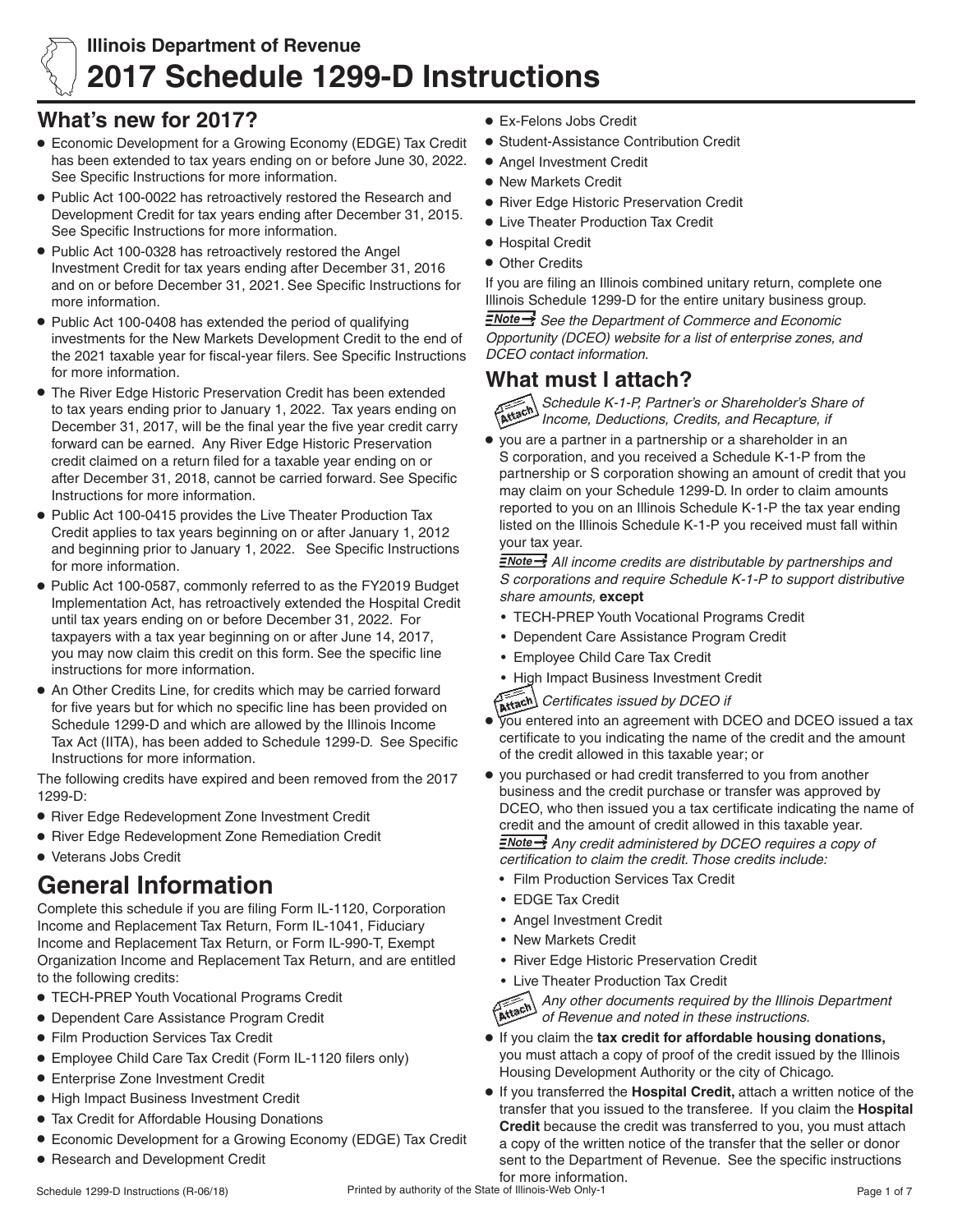

# **Illinois Department of Revenue 2017 Schedule 1299-D Instructions**

# **What's new for 2017?**

- **•** Economic Development for a Growing Economy (EDGE) Tax Credit has been extended to tax years ending on or before June 30, 2022. See Specific Instructions for more information.
- **•** Public Act 100-0022 has retroactively restored the Research and Development Credit for tax years ending after December 31, 2015. See Specific Instructions for more information.
- **•** Public Act 100-0328 has retroactively restored the Angel Investment Credit for tax years ending after December 31, 2016 and on or before December 31, 2021. See Specific Instructions for more information.
- Public Act 100-0408 has extended the period of qualifying investments for the New Markets Development Credit to the end of the 2021 taxable year for fiscal-year filers. See Specific Instructions for more information.
- **The River Edge Historic Preservation Credit has been extended** to tax years ending prior to January 1, 2022. Tax years ending on December 31, 2017, will be the final year the five year credit carry forward can be earned. Any River Edge Historic Preservation credit claimed on a return filed for a taxable year ending on or after December 31, 2018, cannot be carried forward. See Specific Instructions for more information.
- **•** Public Act 100-0415 provides the Live Theater Production Tax Credit applies to tax years beginning on or after January 1, 2012 and beginning prior to January 1, 2022. See Specific Instructions for more information.
- **•** Public Act 100-0587, commonly referred to as the FY2019 Budget Implementation Act, has retroactively extended the Hospital Credit until tax years ending on or before December 31, 2022. For taxpayers with a tax year beginning on or after June 14, 2017, you may now claim this credit on this form. See the specific line instructions for more information.
- **•** An Other Credits Line, for credits which may be carried forward for five years but for which no specific line has been provided on Schedule 1299-D and which are allowed by the Illinois Income Tax Act (IITA), has been added to Schedule 1299-D. See Specific Instructions for more information.

The following credits have expired and been removed from the 2017 1299-D:

- **•** River Edge Redevelopment Zone Investment Credit
- **•** River Edge Redevelopment Zone Remediation Credit
- **•** Veterans Jobs Credit

# **General Information**

Complete this schedule if you are filing Form IL-1120, Corporation Income and Replacement Tax Return, Form IL-1041, Fiduciary Income and Replacement Tax Return, or Form IL-990-T, Exempt Organization Income and Replacement Tax Return, and are entitled to the following credits:

- **•** TECH-PREP Youth Vocational Programs Credit
- **•** Dependent Care Assistance Program Credit
- **•** Film Production Services Tax Credit
- **•** Employee Child Care Tax Credit (Form IL-1120 filers only)
- **•** Enterprise Zone Investment Credit
- **•** High Impact Business Investment Credit
- **•** Tax Credit for Affordable Housing Donations
- **•** Economic Development for a Growing Economy (EDGE) Tax Credit
- **Research and Development Credit**
- **•** Ex-Felons Jobs Credit
- **•** Student-Assistance Contribution Credit
- **•** Angel Investment Credit
- **•** New Markets Credit
- **•** River Edge Historic Preservation Credit
- **•** Live Theater Production Tax Credit
- **•** Hospital Credit
- **•** Other Credits

If you are filing an Illinois combined unitary return, complete one Illinois Schedule 1299-D for the entire unitary business group.

 *See the Department of Commerce and Economic Opportunity (DCEO) website for a list of enterprise zones, and DCEO contact information.*

# **What must I attach?**

*Schedule K-1-P, Partner's or Shareholder's Share of Income, Deductions, Credits, and Recapture, if*

• vou are a partner in a partnership or a shareholder in an S corporation, and you received a Schedule K-1-P from the partnership or S corporation showing an amount of credit that you may claim on your Schedule 1299-D. In order to claim amounts reported to you on an Illinois Schedule K-1-P the tax year ending listed on the Illinois Schedule K-1-P you received must fall within your tax year.

 *All income credits are distributable by partnerships and S corporations and require Schedule K-1-P to support distributive share amounts,* **except**

- TECH-PREP Youth Vocational Programs Credit
- • Dependent Care Assistance Program Credit
- • Employee Child Care Tax Credit
- • High Impact Business Investment Credit

*Certificates issued by DCEO if*

- **•** you entered into an agreement with DCEO and DCEO issued a tax certificate to you indicating the name of the credit and the amount of the credit allowed in this taxable year; or
- **•** you purchased or had credit transferred to you from another business and the credit purchase or transfer was approved by DCEO, who then issued you a tax certificate indicating the name of credit and the amount of credit allowed in this taxable year. *Any credit administered by DCEO requires a copy of certification to claim the credit. Those credits include:*
	- • Film Production Services Tax Credit
	- • EDGE Tax Credit
	- • Angel Investment Credit
	- • New Markets Credit
	- **River Edge Historic Preservation Credit**
	-



- Live Theater Production Tax Credit<br>Any other documents required<br>of Revenue and noted in these *Any other documents required by the Illinois Department of Revenue and noted in these instructions.*
- **•** If you claim the **tax credit for affordable housing donations,** you must attach a copy of proof of the credit issued by the Illinois Housing Development Authority or the city of Chicago.
- **•** If you transferred the **Hospital Credit**, attach a written notice of the transfer that you issued to the transferee. If you claim the **Hospital Credit** because the credit was transferred to you, you must attach a copy of the written notice of the transfer that the seller or donor sent to the Department of Revenue. See the specific instructions for more information.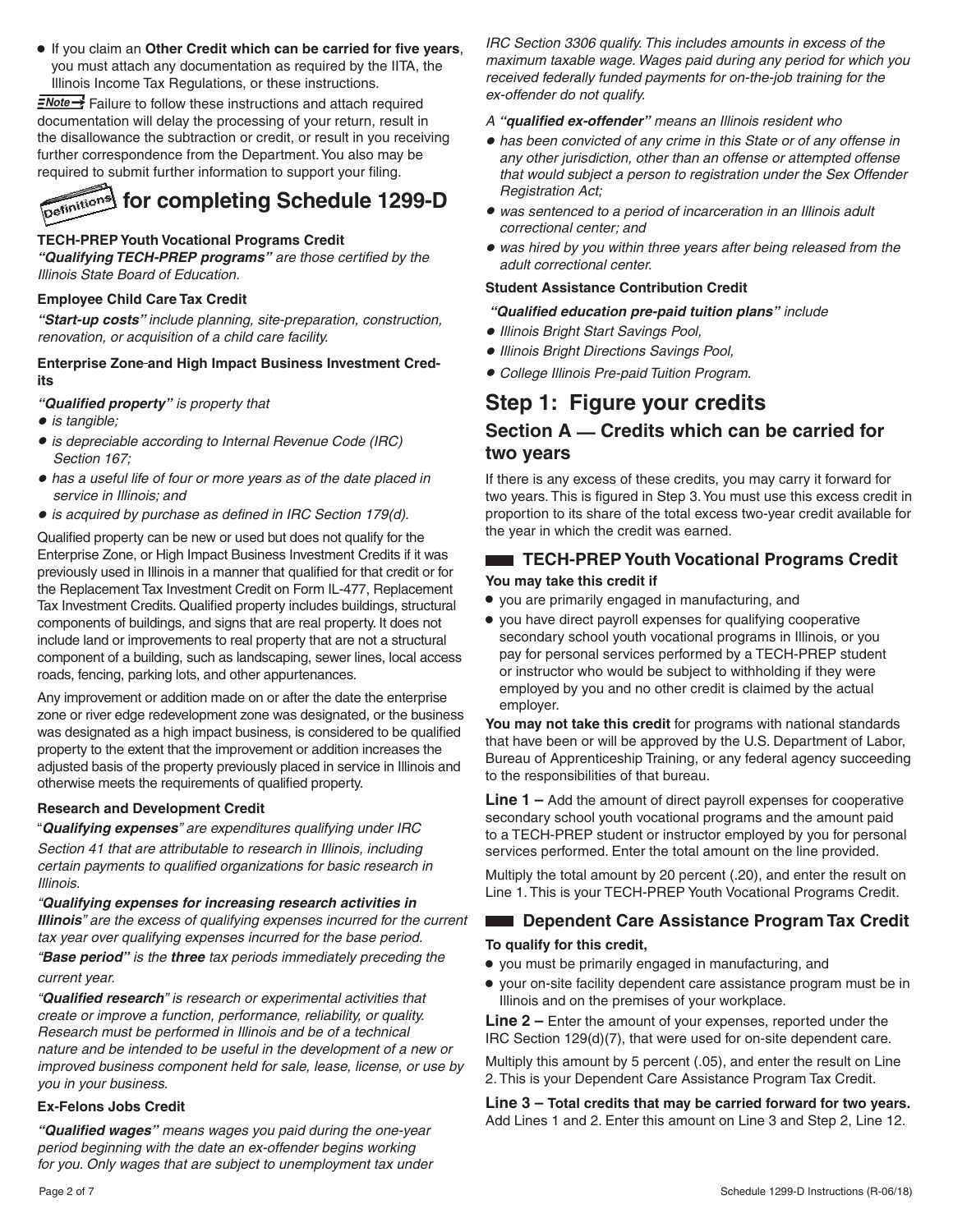**•** If you claim an **Other Credit which can be carried for five years**, you must attach any documentation as required by the IITA, the Illinois Income Tax Regulations, or these instructions.

 $\equiv$ Mote  $\rightarrow$  Failure to follow these instructions and attach required documentation will delay the processing of your return, result in the disallowance the subtraction or credit, or result in you receiving further correspondence from the Department. You also may be required to submit further information to support your filing.



#### **TECH-PREP Youth Vocational Programs Credit**

*"Qualifying TECH-PREP programs" are those certified by the Illinois State Board of Education.*

#### **Employee Child Care Tax Credit**

*"Start-up costs" include planning, site-preparation, construction, renovation, or acquisition of a child care facility.*

#### **Enterprise Zone and High Impact Business Investment Credits**

*"Qualified property" is property that* 

- **•** *is tangible;*
- **•** *is depreciable according to Internal Revenue Code (IRC) Section 167;*
- **•** *has a useful life of four or more years as of the date placed in service in Illinois; and*
- **•** *is acquired by purchase as defined in IRC Section 179(d).*

Qualified property can be new or used but does not qualify for the Enterprise Zone, or High Impact Business Investment Credits if it was previously used in Illinois in a manner that qualified for that credit or for the Replacement Tax Investment Credit on Form IL-477, Replacement Tax Investment Credits. Qualified property includes buildings, structural components of buildings, and signs that are real property. It does not include land or improvements to real property that are not a structural component of a building, such as landscaping, sewer lines, local access roads, fencing, parking lots, and other appurtenances.

Any improvement or addition made on or after the date the enterprise zone or river edge redevelopment zone was designated, or the business was designated as a high impact business, is considered to be qualified property to the extent that the improvement or addition increases the adjusted basis of the property previously placed in service in Illinois and otherwise meets the requirements of qualified property.

#### **Research and Development Credit**

"*Qualifying expenses" are expenditures qualifying under IRC*

*Section 41 that are attributable to research in Illinois, including certain payments to qualified organizations for basic research in Illinois.*

*"Qualifying expenses for increasing research activities in Illinois" are the excess of qualifying expenses incurred for the current tax year over qualifying expenses incurred for the base period.*

*"Base period" is the three tax periods immediately preceding the current year.*

*"Qualified research" is research or experimental activities that create or improve a function, performance, reliability, or quality. Research must be performed in Illinois and be of a technical nature and be intended to be useful in the development of a new or improved business component held for sale, lease, license, or use by you in your business.*

# **Ex-Felons Jobs Credit**

*"Qualified wages" means wages you paid during the one-year period beginning with the date an ex-offender begins working for you. Only wages that are subject to unemployment tax under*  *IRC Section 3306 qualify. This includes amounts in excess of the maximum taxable wage. Wages paid during any period for which you received federally funded payments for on-the-job training for the ex-offender do not qualify.*

*A "qualified ex-offender" means an Illinois resident who*

- **•** *has been convicted of any crime in this State or of any offense in any other jurisdiction, other than an offense or attempted offense that would subject a person to registration under the Sex Offender Registration Act;*
- **•** *was sentenced to a period of incarceration in an Illinois adult correctional center; and*
- **•** *was hired by you within three years after being released from the adult correctional center.*

### **Student Assistance Contribution Credit**

### *"Qualified education pre-paid tuition plans" include*

- **•** *Illinois Bright Start Savings Pool,*
- **•** *Illinois Bright Directions Savings Pool,*
- **•** *College Illinois Pre-paid Tuition Program.*

# **Step 1: Figure your credits**

# **Section A — Credits which can be carried for two years**

If there is any excess of these credits, you may carry it forward for two years. This is figured in Step 3. You must use this excess credit in proportion to its share of the total excess two-year credit available for the year in which the credit was earned.

# **TECH-PREP Youth Vocational Programs Credit You may take this credit if**

- **•** you are primarily engaged in manufacturing, and
- **•** you have direct payroll expenses for qualifying cooperative secondary school youth vocational programs in Illinois, or you pay for personal services performed by a TECH-PREP student or instructor who would be subject to withholding if they were employed by you and no other credit is claimed by the actual employer.

**You may not take this credit** for programs with national standards that have been or will be approved by the U.S. Department of Labor, Bureau of Apprenticeship Training, or any federal agency succeeding to the responsibilities of that bureau.

**Line 1 –** Add the amount of direct payroll expenses for cooperative secondary school youth vocational programs and the amount paid to a TECH-PREP student or instructor employed by you for personal services performed. Enter the total amount on the line provided.

Multiply the total amount by 20 percent (.20), and enter the result on Line 1. This is your TECH-PREP Youth Vocational Programs Credit*.*

# **Dependent Care Assistance Program Tax Credit**

# **To qualify for this credit,**

- **•** you must be primarily engaged in manufacturing, and
- **•** your on-site facility dependent care assistance program must be in Illinois and on the premises of your workplace.

**Line 2 –** Enter the amount of your expenses, reported under the IRC Section 129(d)(7), that were used for on-site dependent care.

Multiply this amount by 5 percent (.05), and enter the result on Line 2. This is your Dependent Care Assistance Program Tax Credit.

**Line 3 – Total credits that may be carried forward for two years.**  Add Lines 1 and 2. Enter this amount on Line 3 and Step 2, Line 12.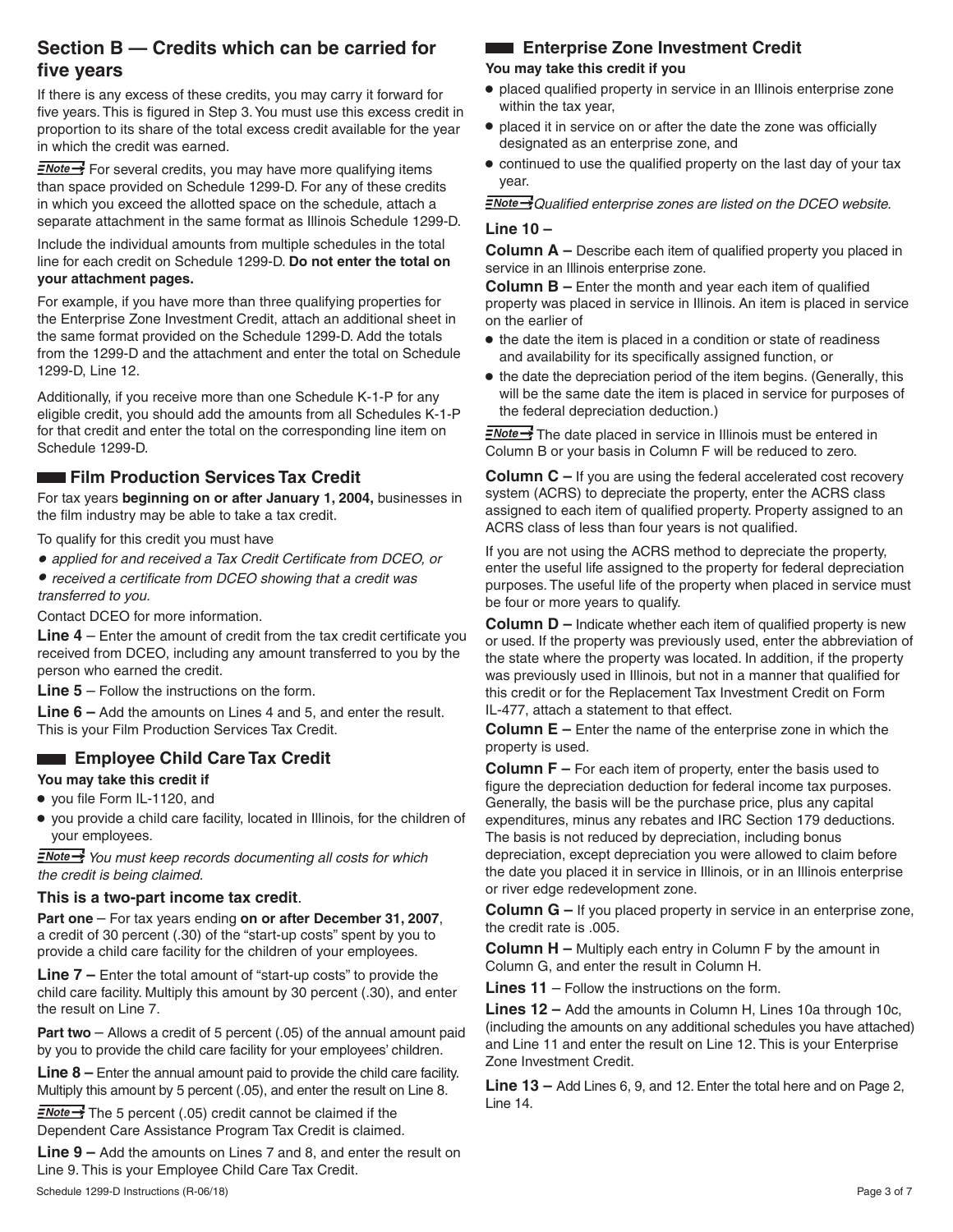# **Section B — Credits which can be carried for five years**

If there is any excess of these credits, you may carry it forward for five years. This is figured in Step 3. You must use this excess credit in proportion to its share of the total excess credit available for the year in which the credit was earned.

 $\equiv$ Mote  $\rightarrow$  For several credits, you may have more qualifying items than space provided on Schedule 1299-D. For any of these credits in which you exceed the allotted space on the schedule, attach a separate attachment in the same format as Illinois Schedule 1299-D.

Include the individual amounts from multiple schedules in the total line for each credit on Schedule 1299-D. **Do not enter the total on your attachment pages.**

For example, if you have more than three qualifying properties for the Enterprise Zone Investment Credit, attach an additional sheet in the same format provided on the Schedule 1299-D. Add the totals from the 1299-D and the attachment and enter the total on Schedule 1299-D, Line 12.

Additionally, if you receive more than one Schedule K-1-P for any eligible credit, you should add the amounts from all Schedules K-1-P for that credit and enter the total on the corresponding line item on Schedule 1299-D.

# **Example 2 Film Production Services Tax Credit**

For tax years **beginning on or after January 1, 2004,** businesses in the film industry may be able to take a tax credit.

- To qualify for this credit you must have
- *applied for and received a Tax Credit Certificate from DCEO, or*
- *received a certificate from DCEO showing that a credit was transferred to you.*

Contact DCEO for more information.

**Line 4** – Enter the amount of credit from the tax credit certificate you received from DCEO, including any amount transferred to you by the person who earned the credit.

**Line 5** – Follow the instructions on the form.

**Line 6 –** Add the amounts on Lines 4 and 5, and enter the result. This is your Film Production Services Tax Credit.

# **Employee Child Care Tax Credit**

#### **You may take this credit if**

- **•** you file Form IL-1120, and
- **•** you provide a child care facility, located in Illinois, for the children of your employees.

 *You must keep records documenting all costs for which the credit is being claimed.*

#### **This is a two-part income tax credit**.

**Part one** – For tax years ending **on or after December 31, 2007**, a credit of 30 percent (.30) of the "start-up costs" spent by you to provide a child care facility for the children of your employees.

**Line 7 –** Enter the total amount of "start-up costs" to provide the child care facility. Multiply this amount by 30 percent (.30), and enter the result on Line 7.

**Part two** – Allows a credit of 5 percent (.05) of the annual amount paid by you to provide the child care facility for your employees' children.

**Line 8 –** Enter the annual amount paid to provide the child care facility. Multiply this amount by 5 percent (.05), and enter the result on Line 8.

 $\equiv$ Mote  $\rightarrow$  The 5 percent (.05) credit cannot be claimed if the Dependent Care Assistance Program Tax Credit is claimed.

**Line 9 –** Add the amounts on Lines 7 and 8, and enter the result on Line 9. This is your Employee Child Care Tax Credit.

# **Enterprise Zone Investment Credit**

#### **You may take this credit if you**

- **•** placed qualified property in service in an Illinois enterprise zone within the tax year,
- **•** placed it in service on or after the date the zone was officially designated as an enterprise zone, and
- **•** continued to use the qualified property on the last day of your tax year.

*Qualified enterprise zones are listed on the DCEO website.* 

#### **Line 10 –**

**Column A –** Describe each item of qualified property you placed in service in an Illinois enterprise zone.

**Column B –** Enter the month and year each item of qualified property was placed in service in Illinois. An item is placed in service on the earlier of

- **•** the date the item is placed in a condition or state of readiness and availability for its specifically assigned function, or
- **•** the date the depreciation period of the item begins. (Generally, this will be the same date the item is placed in service for purposes of the federal depreciation deduction.)

 $\equiv$ Note  $\rightarrow$  The date placed in service in Illinois must be entered in Column B or your basis in Column F will be reduced to zero.

**Column C** – If you are using the federal accelerated cost recovery system (ACRS) to depreciate the property, enter the ACRS class assigned to each item of qualified property. Property assigned to an ACRS class of less than four years is not qualified.

If you are not using the ACRS method to depreciate the property, enter the useful life assigned to the property for federal depreciation purposes. The useful life of the property when placed in service must be four or more years to qualify.

**Column D –** Indicate whether each item of qualified property is new or used. If the property was previously used, enter the abbreviation of the state where the property was located. In addition, if the property was previously used in Illinois, but not in a manner that qualified for this credit or for the Replacement Tax Investment Credit on Form IL-477, attach a statement to that effect.

**Column E –** Enter the name of the enterprise zone in which the property is used.

**Column F –** For each item of property, enter the basis used to figure the depreciation deduction for federal income tax purposes. Generally, the basis will be the purchase price, plus any capital expenditures, minus any rebates and IRC Section 179 deductions. The basis is not reduced by depreciation, including bonus

depreciation, except depreciation you were allowed to claim before the date you placed it in service in Illinois, or in an Illinois enterprise or river edge redevelopment zone.

**Column G –** If you placed property in service in an enterprise zone, the credit rate is .005.

**Column H –** Multiply each entry in Column F by the amount in Column G, and enter the result in Column H.

**Lines 11** – Follow the instructions on the form.

**Lines 12 –** Add the amounts in Column H, Lines 10a through 10c, (including the amounts on any additional schedules you have attached) and Line 11 and enter the result on Line 12. This is your Enterprise Zone Investment Credit.

**Line 13 –** Add Lines 6, 9, and 12. Enter the total here and on Page 2, Line 14.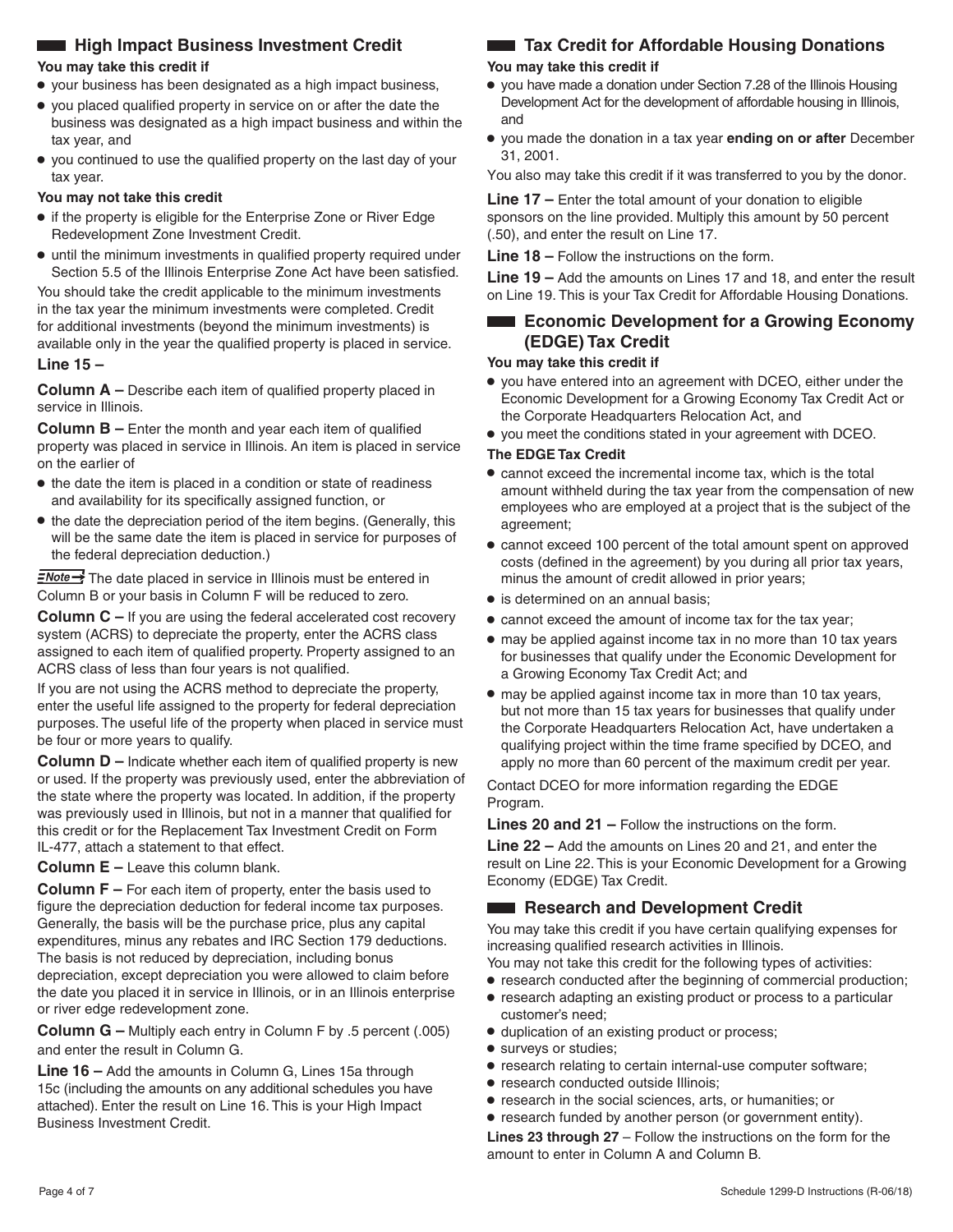# **High Impact Business Investment Credit**

#### **You may take this credit if**

- **•** your business has been designated as a high impact business,
- **•** you placed qualified property in service on or after the date the business was designated as a high impact business and within the tax year, and
- **•** you continued to use the qualified property on the last day of your tax year.

#### **You may not take this credit**

- **•** if the property is eligible for the Enterprise Zone or River Edge Redevelopment Zone Investment Credit.
- **•** until the minimum investments in qualified property required under Section 5.5 of the Illinois Enterprise Zone Act have been satisfied.

You should take the credit applicable to the minimum investments in the tax year the minimum investments were completed. Credit for additional investments (beyond the minimum investments) is available only in the year the qualified property is placed in service. **Line 15 –** 

**Column A –** Describe each item of qualified property placed in service in Illinois.

**Column B –** Enter the month and year each item of qualified property was placed in service in Illinois. An item is placed in service on the earlier of

- **•** the date the item is placed in a condition or state of readiness and availability for its specifically assigned function, or
- **•** the date the depreciation period of the item begins. (Generally, this will be the same date the item is placed in service for purposes of the federal depreciation deduction.)

 $\frac{7}{2}$  The date placed in service in Illinois must be entered in Column B or your basis in Column F will be reduced to zero.

**Column C** – If you are using the federal accelerated cost recovery system (ACRS) to depreciate the property, enter the ACRS class assigned to each item of qualified property. Property assigned to an ACRS class of less than four years is not qualified.

If you are not using the ACRS method to depreciate the property, enter the useful life assigned to the property for federal depreciation purposes. The useful life of the property when placed in service must be four or more years to qualify.

**Column D –** Indicate whether each item of qualified property is new or used. If the property was previously used, enter the abbreviation of the state where the property was located. In addition, if the property was previously used in Illinois, but not in a manner that qualified for this credit or for the Replacement Tax Investment Credit on Form IL-477, attach a statement to that effect.

**Column E –** Leave this column blank.

**Column F** – For each item of property, enter the basis used to figure the depreciation deduction for federal income tax purposes. Generally, the basis will be the purchase price, plus any capital expenditures, minus any rebates and IRC Section 179 deductions. The basis is not reduced by depreciation, including bonus depreciation, except depreciation you were allowed to claim before the date you placed it in service in Illinois, or in an Illinois enterprise or river edge redevelopment zone.

**Column G –** Multiply each entry in Column F by .5 percent (.005) and enter the result in Column G.

**Line 16 –** Add the amounts in Column G, Lines 15a through 15c (including the amounts on any additional schedules you have attached). Enter the result on Line 16. This is your High Impact Business Investment Credit.

# **Tax Credit for Affordable Housing Donations**

#### **You may take this credit if**

- **•** you have made a donation under Section 7.28 of the Illinois Housing Development Act for the development of affordable housing in Illinois, and
- **•** you made the donation in a tax year **ending on or after** December 31, 2001.

You also may take this credit if it was transferred to you by the donor.

**Line 17 –** Enter the total amount of your donation to eligible sponsors on the line provided. Multiply this amount by 50 percent (.50), and enter the result on Line 17.

**Line 18 –** Follow the instructions on the form.

**Line 19 –** Add the amounts on Lines 17 and 18, and enter the result on Line 19. This is your Tax Credit for Affordable Housing Donations.

# **Example 2** Economic Development for a Growing Economy **(EDGE) Tax Credit**

#### **You may take this credit if**

- **•** you have entered into an agreement with DCEO, either under the Economic Development for a Growing Economy Tax Credit Act or the Corporate Headquarters Relocation Act, and
- **•** you meet the conditions stated in your agreement with DCEO.

#### **The EDGE Tax Credit**

- **•** cannot exceed the incremental income tax, which is the total amount withheld during the tax year from the compensation of new employees who are employed at a project that is the subject of the agreement;
- **•** cannot exceed 100 percent of the total amount spent on approved costs (defined in the agreement) by you during all prior tax years, minus the amount of credit allowed in prior years;
- **•** is determined on an annual basis;
- **•** cannot exceed the amount of income tax for the tax year;
- **•** may be applied against income tax in no more than 10 tax years for businesses that qualify under the Economic Development for a Growing Economy Tax Credit Act; and
- **•** may be applied against income tax in more than 10 tax years, but not more than 15 tax years for businesses that qualify under the Corporate Headquarters Relocation Act, have undertaken a qualifying project within the time frame specified by DCEO, and apply no more than 60 percent of the maximum credit per year.

Contact DCEO for more information regarding the EDGE Program.

**Lines 20 and 21 –** Follow the instructions on the form.

**Line 22 –** Add the amounts on Lines 20 and 21, and enter the result on Line 22. This is your Economic Development for a Growing Economy (EDGE) Tax Credit.

# **Research and Development Credit**

You may take this credit if you have certain qualifying expenses for increasing qualified research activities in Illinois.

- You may not take this credit for the following types of activities:
- **•** research conducted after the beginning of commercial production;
- **•** research adapting an existing product or process to a particular customer's need;
- **•** duplication of an existing product or process;
- **•** surveys or studies;
- **•** research relating to certain internal-use computer software;
- **•** research conducted outside Illinois;
- **•** research in the social sciences, arts, or humanities; or
- **•** research funded by another person (or government entity).

**Lines 23 through 27** – Follow the instructions on the form for the amount to enter in Column A and Column B.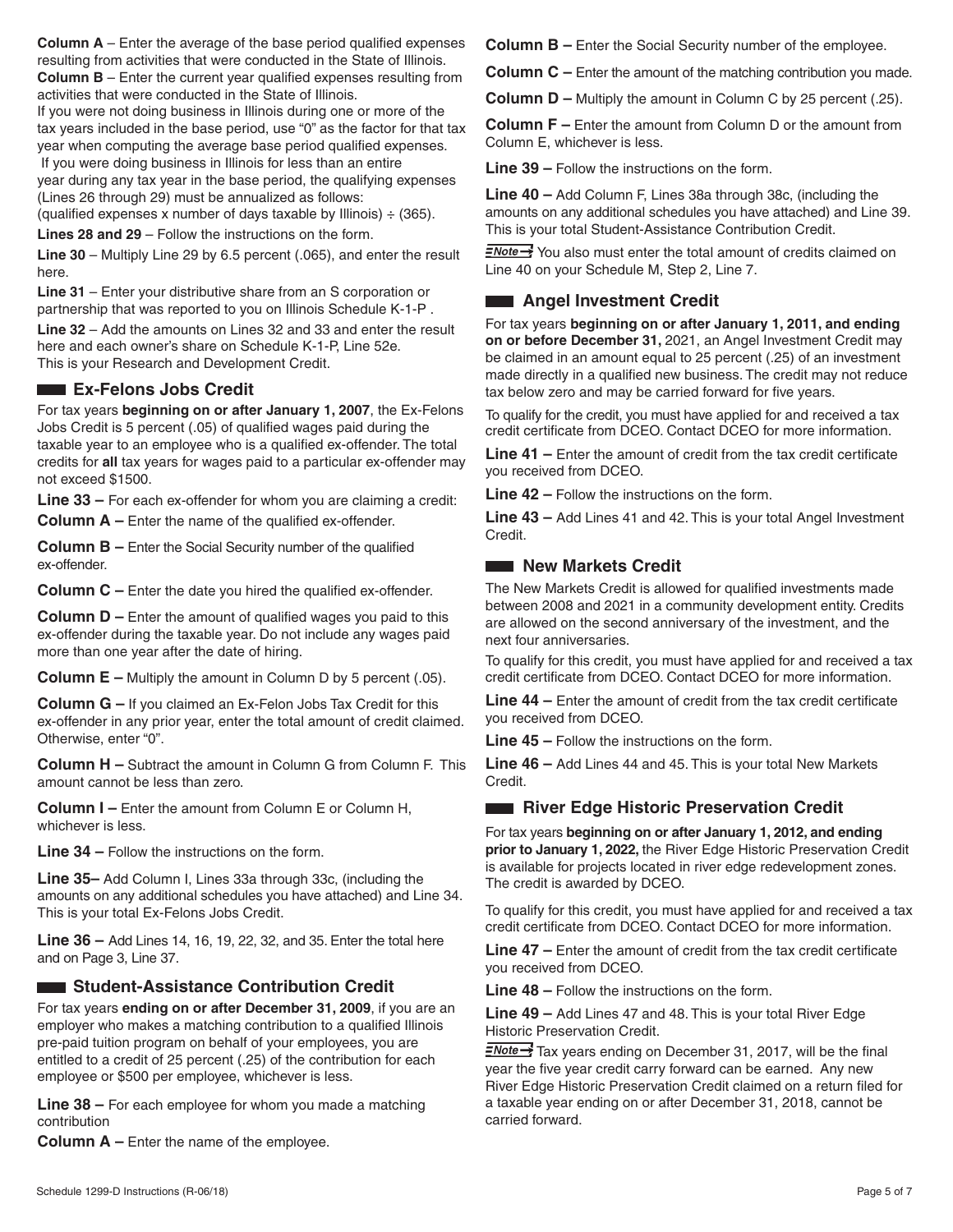**Column A** – Enter the average of the base period qualified expenses resulting from activities that were conducted in the State of Illinois. **Column B** – Enter the current year qualified expenses resulting from activities that were conducted in the State of Illinois.

If you were not doing business in Illinois during one or more of the tax years included in the base period, use "0" as the factor for that tax year when computing the average base period qualified expenses.

 If you were doing business in Illinois for less than an entire year during any tax year in the base period, the qualifying expenses (Lines 26 through 29) must be annualized as follows:

(qualified expenses x number of days taxable by Illinois)  $\div$  (365).

**Lines 28 and 29** – Follow the instructions on the form.

**Line 30** – Multiply Line 29 by 6.5 percent (.065), and enter the result here.

**Line 31** – Enter your distributive share from an S corporation or partnership that was reported to you on Illinois Schedule K-1-P .

**Line 32** – Add the amounts on Lines 32 and 33 and enter the result here and each owner's share on Schedule K-1-P, Line 52e. This is your Research and Development Credit.

# **EX-Felons Jobs Credit**

For tax years **beginning on or after January 1, 2007**, the Ex-Felons Jobs Credit is 5 percent (.05) of qualified wages paid during the taxable year to an employee who is a qualified ex-offender. The total credits for **all** tax years for wages paid to a particular ex-offender may not exceed \$1500.

**Line 33 –** For each ex-offender for whom you are claiming a credit: **Column A –** Enter the name of the qualified ex-offender.

**Column B –** Enter the Social Security number of the qualified ex-offender.

**Column C –** Enter the date you hired the qualified ex-offender.

**Column D –** Enter the amount of qualified wages you paid to this ex-offender during the taxable year. Do not include any wages paid more than one year after the date of hiring.

**Column E** – Multiply the amount in Column D by 5 percent (.05).

**Column G –** If you claimed an Ex-Felon Jobs Tax Credit for this ex-offender in any prior year, enter the total amount of credit claimed. Otherwise, enter "0".

**Column H –** Subtract the amount in Column G from Column F. This amount cannot be less than zero.

**Column I –** Enter the amount from Column E or Column H, whichever is less.

**Line 34 –** Follow the instructions on the form.

**Line 35–** Add Column I, Lines 33a through 33c, (including the amounts on any additional schedules you have attached) and Line 34. This is your total Ex-Felons Jobs Credit.

**Line 36 –** Add Lines 14, 16, 19, 22, 32, and 35. Enter the total here and on Page 3, Line 37.

# **Example 21 Student-Assistance Contribution Credit**

For tax years **ending on or after December 31, 2009**, if you are an employer who makes a matching contribution to a qualified Illinois pre-paid tuition program on behalf of your employees, you are entitled to a credit of 25 percent (.25) of the contribution for each employee or \$500 per employee, whichever is less.

**Line 38 –** For each employee for whom you made a matching contribution

**Column A –** Enter the name of the employee.

**Column B –** Enter the Social Security number of the employee.

**Column C** – Enter the amount of the matching contribution you made.

**Column D** – Multiply the amount in Column C by 25 percent (.25).

**Column F –** Enter the amount from Column D or the amount from Column E, whichever is less.

**Line 39 –** Follow the instructions on the form.

**Line 40 –** Add Column F, Lines 38a through 38c, (including the amounts on any additional schedules you have attached) and Line 39. This is your total Student-Assistance Contribution Credit.

 $\frac{1}{2}$  You also must enter the total amount of credits claimed on Line 40 on your Schedule M, Step 2, Line 7.

# **Angel Investment Credit**

For tax years **beginning on or after January 1, 2011, and ending on or before December 31,** 2021, an Angel Investment Credit may be claimed in an amount equal to 25 percent (.25) of an investment made directly in a qualified new business. The credit may not reduce tax below zero and may be carried forward for five years.

To qualify for the credit, you must have applied for and received a tax credit certificate from DCEO. Contact DCEO for more information.

**Line 41 –** Enter the amount of credit from the tax credit certificate you received from DCEO.

**Line 42 –** Follow the instructions on the form.

**Line 43 –** Add Lines 41 and 42. This is your total Angel Investment Credit.

### **New Markets Credit**

The New Markets Credit is allowed for qualified investments made between 2008 and 2021 in a community development entity. Credits are allowed on the second anniversary of the investment, and the next four anniversaries.

To qualify for this credit, you must have applied for and received a tax credit certificate from DCEO. Contact DCEO for more information.

**Line 44 –** Enter the amount of credit from the tax credit certificate you received from DCEO.

**Line 45 –** Follow the instructions on the form.

**Line 46 –** Add Lines 44 and 45. This is your total New Markets Credit.

### **River Edge Historic Preservation Credit**

For tax years **beginning on or after January 1, 2012, and ending prior to January 1, 2022,** the River Edge Historic Preservation Credit is available for projects located in river edge redevelopment zones. The credit is awarded by DCEO.

To qualify for this credit, you must have applied for and received a tax credit certificate from DCEO. Contact DCEO for more information.

**Line 47 –** Enter the amount of credit from the tax credit certificate you received from DCEO.

**Line 48 –** Follow the instructions on the form.

**Line 49 –** Add Lines 47 and 48. This is your total River Edge Historic Preservation Credit.

 $\frac{7}{2}$  Tax years ending on December 31, 2017, will be the final year the five year credit carry forward can be earned. Any new River Edge Historic Preservation Credit claimed on a return filed for a taxable year ending on or after December 31, 2018, cannot be carried forward.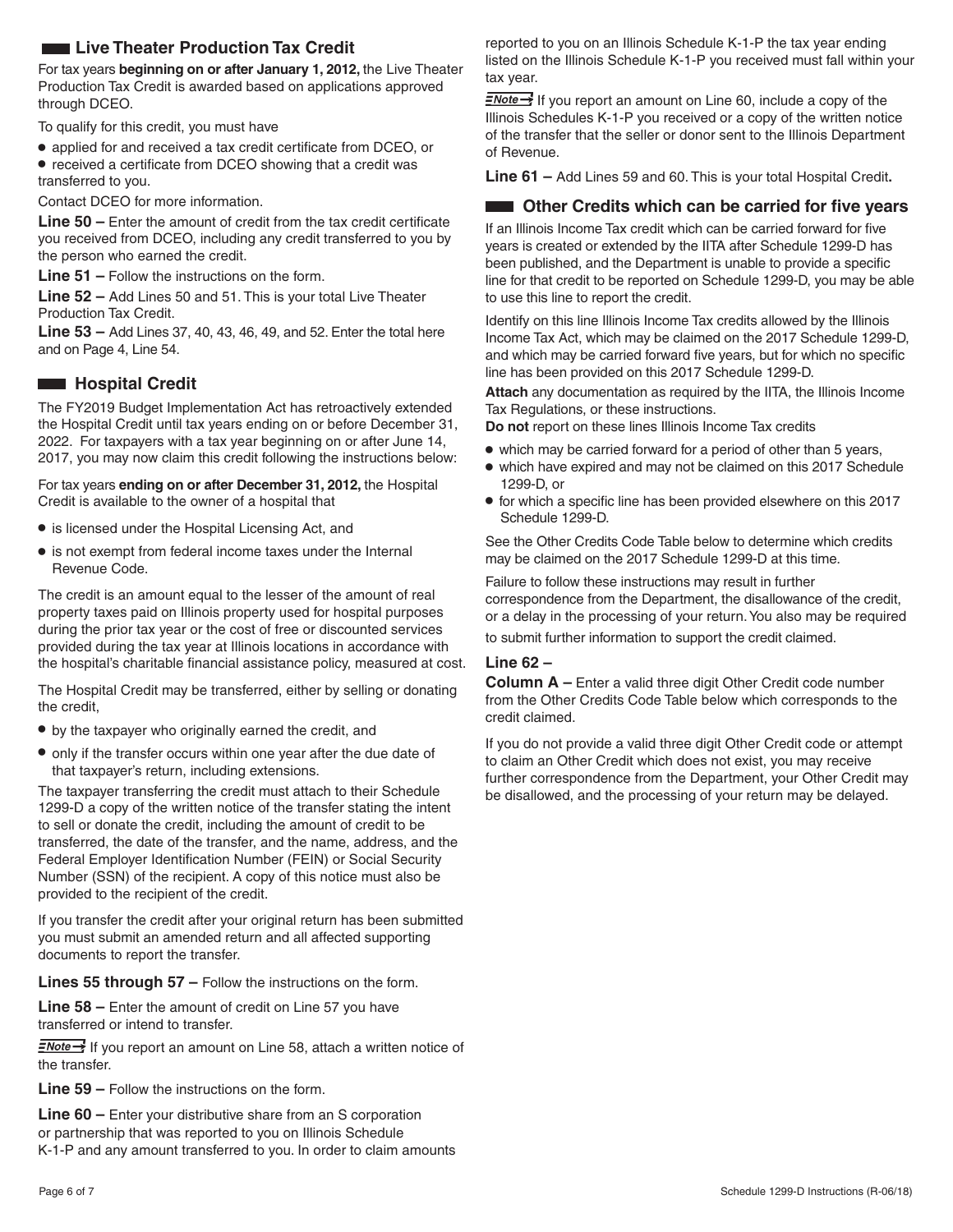# **Live Theater Production Tax Credit**

For tax years **beginning on or after January 1, 2012,** the Live Theater Production Tax Credit is awarded based on applications approved through DCEO.

To qualify for this credit, you must have

**•** applied for and received a tax credit certificate from DCEO, or

**•** received a certificate from DCEO showing that a credit was transferred to you.

Contact DCEO for more information.

**Line 50 –** Enter the amount of credit from the tax credit certificate you received from DCEO, including any credit transferred to you by the person who earned the credit.

**Line 51 –** Follow the instructions on the form.

**Line 52 –** Add Lines 50 and 51. This is your total Live Theater Production Tax Credit.

**Line 53 –** Add Lines 37, 40, 43, 46, 49, and 52. Enter the total here and on Page 4, Line 54.

### **Example 3 Hospital Credit**

The FY2019 Budget Implementation Act has retroactively extended the Hospital Credit until tax years ending on or before December 31, 2022. For taxpayers with a tax year beginning on or after June 14, 2017, you may now claim this credit following the instructions below:

For tax years **ending on or after December 31, 2012,** the Hospital Credit is available to the owner of a hospital that

- **•** is licensed under the Hospital Licensing Act, and
- **•** is not exempt from federal income taxes under the Internal Revenue Code.

The credit is an amount equal to the lesser of the amount of real property taxes paid on Illinois property used for hospital purposes during the prior tax year or the cost of free or discounted services provided during the tax year at Illinois locations in accordance with the hospital's charitable financial assistance policy, measured at cost.

The Hospital Credit may be transferred, either by selling or donating the credit,

- **•** by the taxpayer who originally earned the credit, and
- **•** only if the transfer occurs within one year after the due date of that taxpayer's return, including extensions.

The taxpayer transferring the credit must attach to their Schedule 1299-D a copy of the written notice of the transfer stating the intent to sell or donate the credit, including the amount of credit to be transferred, the date of the transfer, and the name, address, and the Federal Employer Identification Number (FEIN) or Social Security Number (SSN) of the recipient. A copy of this notice must also be provided to the recipient of the credit.

If you transfer the credit after your original return has been submitted you must submit an amended return and all affected supporting documents to report the transfer.

**Lines 55 through 57 –** Follow the instructions on the form.

**Line 58 –** Enter the amount of credit on Line 57 you have transferred or intend to transfer.

 $\equiv$ Mote  $\rightarrow$  If you report an amount on Line 58, attach a written notice of the transfer.

**Line 59 –** Follow the instructions on the form.

**Line 60 –** Enter your distributive share from an S corporation or partnership that was reported to you on Illinois Schedule K-1-P and any amount transferred to you. In order to claim amounts reported to you on an Illinois Schedule K-1-P the tax year ending listed on the Illinois Schedule K-1-P you received must fall within your tax year.

 $\frac{2\text{Note}}{2}$  If you report an amount on Line 60, include a copy of the Illinois Schedules K-1-P you received or a copy of the written notice of the transfer that the seller or donor sent to the Illinois Department of Revenue.

**Line 61 –** Add Lines 59 and 60. This is your total Hospital Credit**.**

### **CHECRY CHANGE COMPUTE:** Other Credits which can be carried for five years

If an Illinois Income Tax credit which can be carried forward for five years is created or extended by the IITA after Schedule 1299-D has been published, and the Department is unable to provide a specific line for that credit to be reported on Schedule 1299-D, you may be able to use this line to report the credit.

Identify on this line Illinois Income Tax credits allowed by the Illinois Income Tax Act, which may be claimed on the 2017 Schedule 1299-D, and which may be carried forward five years, but for which no specific line has been provided on this 2017 Schedule 1299-D.

**Attach** any documentation as required by the IITA, the Illinois Income Tax Regulations, or these instructions.

**Do not** report on these lines Illinois Income Tax credits

- **•** which may be carried forward for a period of other than 5 years,
- **•** which have expired and may not be claimed on this 2017 Schedule 1299-D, or
- **•** for which a specific line has been provided elsewhere on this 2017 Schedule 1299-D.

See the Other Credits Code Table below to determine which credits may be claimed on the 2017 Schedule 1299-D at this time.

Failure to follow these instructions may result in further correspondence from the Department, the disallowance of the credit, or a delay in the processing of your return. You also may be required

to submit further information to support the credit claimed.

#### **Line 62 –**

**Column A –** Enter a valid three digit Other Credit code number from the Other Credits Code Table below which corresponds to the credit claimed.

If you do not provide a valid three digit Other Credit code or attempt to claim an Other Credit which does not exist, you may receive further correspondence from the Department, your Other Credit may be disallowed, and the processing of your return may be delayed.